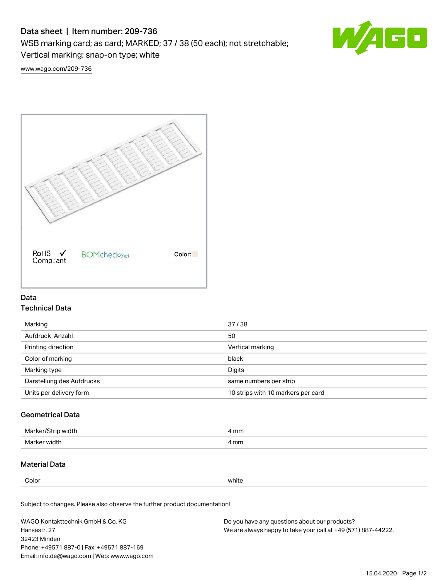# Data sheet | Item number: 209-736

WSB marking card; as card; MARKED; 37 / 38 (50 each); not stretchable;

Vertical marking; snap-on type; white

60 W

[www.wago.com/209-736](http://www.wago.com/209-736)



## Data Technical Data

| Marking                   | 37/38                              |
|---------------------------|------------------------------------|
| Aufdruck Anzahl           | 50                                 |
| Printing direction        | Vertical marking                   |
| Color of marking          | black                              |
| Marking type              | Digits                             |
| Darstellung des Aufdrucks | same numbers per strip             |
| Units per delivery form   | 10 strips with 10 markers per card |

## Geometrical Data

| Marker<br>∘width. | l mm |
|-------------------|------|
| Marker width      | 4 mm |

### Material Data

Color white

Subject to changes. Please also observe the further product documentation!

WAGO Kontakttechnik GmbH & Co. KG Hansastr. 27 32423 Minden Phone: +49571 887-0 | Fax: +49571 887-169 Email: info.de@wago.com | Web: www.wago.com Do you have any questions about our products? We are always happy to take your call at +49 (571) 887-44222.